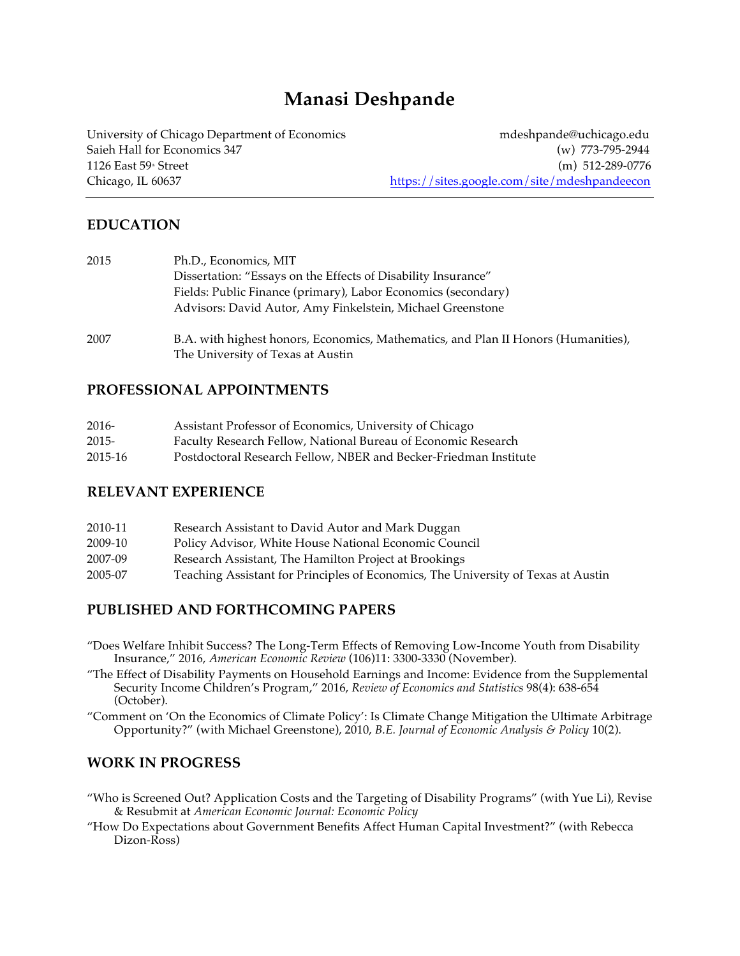# **Manasi Deshpande**

University of Chicago Department of Economics more in the multiple method of the more in the multiple method of the multiple method of the multiple method of the multiple method of the multiple method of the multiple metho Saieh Hall for Economics 347 (w) 773-795-2944 1126 East 59<sup>th</sup> Street (m) 512-289-0776 Chicago, IL 60637 https://sites.google.com/site/mdeshpandeecon

## **EDUCATION**

| 2015 | Ph.D., Economics, MIT                                                                                                   |
|------|-------------------------------------------------------------------------------------------------------------------------|
|      | Dissertation: "Essays on the Effects of Disability Insurance"                                                           |
|      | Fields: Public Finance (primary), Labor Economics (secondary)                                                           |
|      | Advisors: David Autor, Amy Finkelstein, Michael Greenstone                                                              |
| 2007 | B.A. with highest honors, Economics, Mathematics, and Plan II Honors (Humanities),<br>The University of Texas at Austin |

#### **PROFESSIONAL APPOINTMENTS**

| 2016-    | Assistant Professor of Economics, University of Chicago          |
|----------|------------------------------------------------------------------|
| $2015 -$ | Faculty Research Fellow, National Bureau of Economic Research    |
| 2015-16  | Postdoctoral Research Fellow, NBER and Becker-Friedman Institute |

#### **RELEVANT EXPERIENCE**

| 2010-11 | Research Assistant to David Autor and Mark Duggan                                 |
|---------|-----------------------------------------------------------------------------------|
| 2009-10 | Policy Advisor, White House National Economic Council                             |
| 2007-09 | Research Assistant, The Hamilton Project at Brookings                             |
| 2005-07 | Teaching Assistant for Principles of Economics, The University of Texas at Austin |

# **PUBLISHED AND FORTHCOMING PAPERS**

"Does Welfare Inhibit Success? The Long-Term Effects of Removing Low-Income Youth from Disability Insurance," 2016, *American Economic Review* (106)11: 3300-3330 (November).

"The Effect of Disability Payments on Household Earnings and Income: Evidence from the Supplemental Security Income Children's Program," 2016, *Review of Economics and Statistics* 98(4): 638-654 (October).

"Comment on 'On the Economics of Climate Policy': Is Climate Change Mitigation the Ultimate Arbitrage Opportunity?" (with Michael Greenstone), 2010, *B.E. Journal of Economic Analysis & Policy* 10(2).

#### **WORK IN PROGRESS**

- "Who is Screened Out? Application Costs and the Targeting of Disability Programs" (with Yue Li), Revise & Resubmit at *American Economic Journal: Economic Policy*
- "How Do Expectations about Government Benefits Affect Human Capital Investment?" (with Rebecca Dizon-Ross)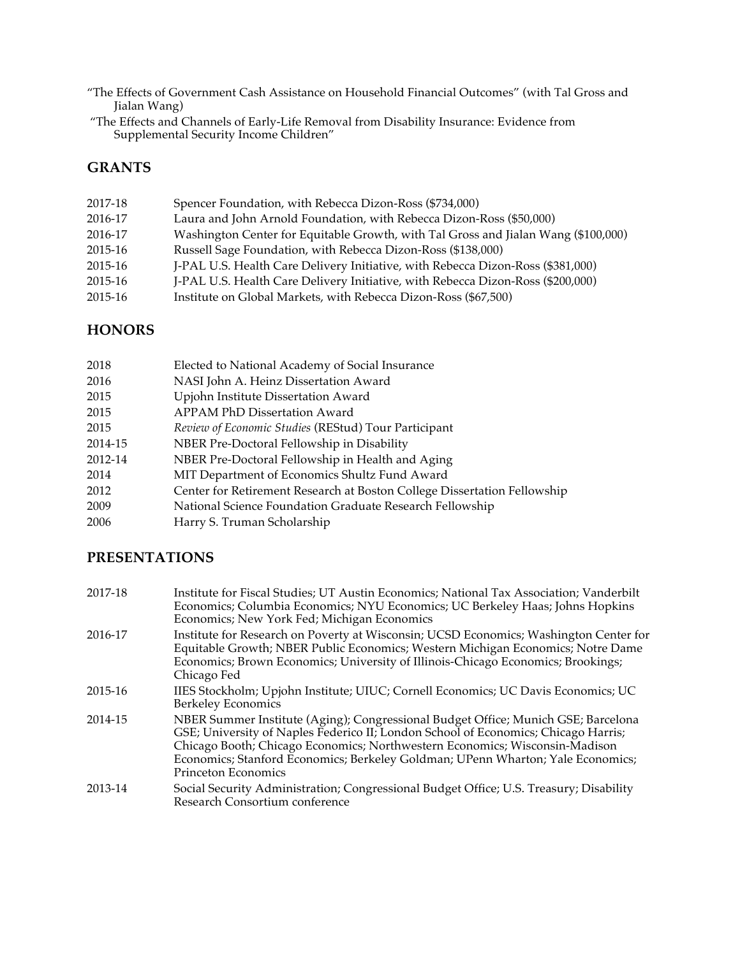"The Effects of Government Cash Assistance on Household Financial Outcomes" (with Tal Gross and Jialan Wang)

"The Effects and Channels of Early-Life Removal from Disability Insurance: Evidence from Supplemental Security Income Children"

## **GRANTS**

| 2017-18 | Spencer Foundation, with Rebecca Dizon-Ross (\$734,000)                            |
|---------|------------------------------------------------------------------------------------|
| 2016-17 | Laura and John Arnold Foundation, with Rebecca Dizon-Ross (\$50,000)               |
| 2016-17 | Washington Center for Equitable Growth, with Tal Gross and Jialan Wang (\$100,000) |
| 2015-16 | Russell Sage Foundation, with Rebecca Dizon-Ross (\$138,000)                       |
| 2015-16 | J-PAL U.S. Health Care Delivery Initiative, with Rebecca Dizon-Ross (\$381,000)    |
| 2015-16 | J-PAL U.S. Health Care Delivery Initiative, with Rebecca Dizon-Ross (\$200,000)    |
| 2015-16 | Institute on Global Markets, with Rebecca Dizon-Ross (\$67,500)                    |
|         |                                                                                    |

#### **HONORS**

| 2018    | Elected to National Academy of Social Insurance                          |
|---------|--------------------------------------------------------------------------|
| 2016    | NASI John A. Heinz Dissertation Award                                    |
| 2015    | Upjohn Institute Dissertation Award                                      |
| 2015    | APPAM PhD Dissertation Award                                             |
| 2015    | <i>Review of Economic Studies</i> (REStud) Tour Participant              |
| 2014-15 | NBER Pre-Doctoral Fellowship in Disability                               |
| 2012-14 | NBER Pre-Doctoral Fellowship in Health and Aging                         |
| 2014    | MIT Department of Economics Shultz Fund Award                            |
| 2012    | Center for Retirement Research at Boston College Dissertation Fellowship |
| 2009    | National Science Foundation Graduate Research Fellowship                 |
| 2006    | Harry S. Truman Scholarship                                              |

# **PRESENTATIONS**

| 2017-18 | Institute for Fiscal Studies; UT Austin Economics; National Tax Association; Vanderbilt<br>Economics; Columbia Economics; NYU Economics; UC Berkeley Haas; Johns Hopkins<br>Economics; New York Fed; Michigan Economics                                                                                                                                                 |
|---------|-------------------------------------------------------------------------------------------------------------------------------------------------------------------------------------------------------------------------------------------------------------------------------------------------------------------------------------------------------------------------|
| 2016-17 | Institute for Research on Poverty at Wisconsin; UCSD Economics; Washington Center for<br>Equitable Growth; NBER Public Economics; Western Michigan Economics; Notre Dame<br>Economics; Brown Economics; University of Illinois-Chicago Economics; Brookings;<br>Chicago Fed                                                                                             |
| 2015-16 | IIES Stockholm; Upjohn Institute; UIUC; Cornell Economics; UC Davis Economics; UC<br><b>Berkeley Economics</b>                                                                                                                                                                                                                                                          |
| 2014-15 | NBER Summer Institute (Aging); Congressional Budget Office; Munich GSE; Barcelona<br>GSE; University of Naples Federico II; London School of Economics; Chicago Harris;<br>Chicago Booth; Chicago Economics; Northwestern Economics; Wisconsin-Madison<br>Economics; Stanford Economics; Berkeley Goldman; UPenn Wharton; Yale Economics;<br><b>Princeton Economics</b> |
| 2013-14 | Social Security Administration; Congressional Budget Office; U.S. Treasury; Disability<br>Research Consortium conference                                                                                                                                                                                                                                                |